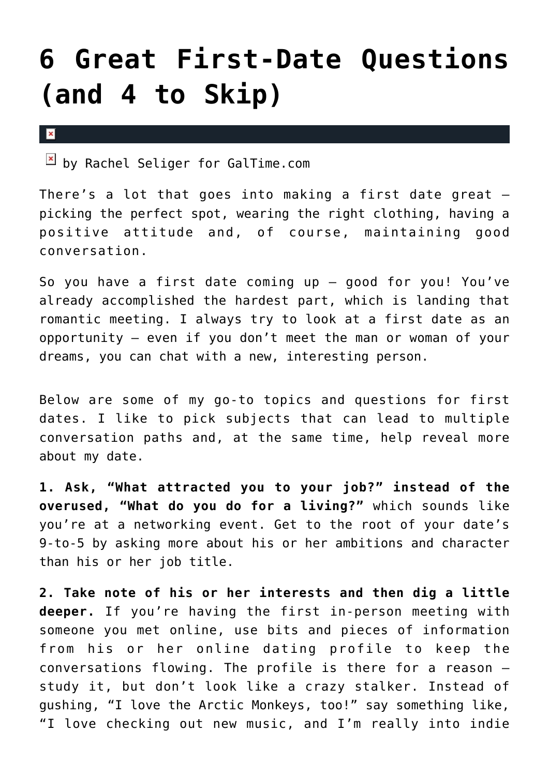## **[6 Great First-Date Questions](https://cupidspulse.com/42467/6-great-first-date-questions-4-skip/) [\(and 4 to Skip\)](https://cupidspulse.com/42467/6-great-first-date-questions-4-skip/)**

 $\mathbf x$ 

**E** by Rachel Seliger for GalTime.com

There's a lot that goes into making a first date great picking the perfect spot, wearing the right clothing, having a positive attitude and, of course, maintaining good conversation.

So you have a first date coming up — good for you! You've already accomplished the hardest part, which is landing that romantic meeting. I always try to look at a first date as an opportunity — even if you don't meet the man or woman of your dreams, you can chat with a new, interesting person.

Below are some of my go-to topics and questions for first dates. I like to pick subjects that can lead to multiple conversation paths and, at the same time, help reveal more about my date.

**1. Ask, "What attracted you to your job?" instead of the overused, "What do you do for a living?"** which sounds like you're at a networking event. Get to the root of your date's 9-to-5 by asking more about his or her ambitions and character than his or her job title.

**2. Take note of his or her interests and then dig a little deeper.** If you're having the first in-person meeting with someone you met online, use bits and pieces of information from his or her online dating profile to keep the conversations flowing. The profile is there for a reason study it, but don't look like a crazy stalker. Instead of gushing, "I love the Arctic Monkeys, too!" say something like, "I love checking out new music, and I'm really into indie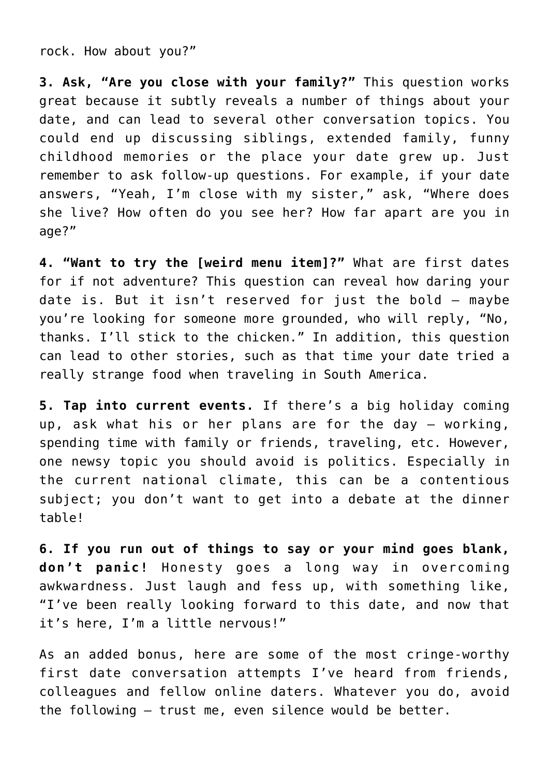rock. How about you?"

**3. Ask, "Are you close with your family?"** This question works great because it subtly reveals a number of things about your date, and can lead to several other conversation topics. You could end up discussing siblings, extended family, funny childhood memories or the place your date grew up. Just remember to ask follow-up questions. For example, if your date answers, "Yeah, I'm close with my sister," ask, "Where does she live? How often do you see her? How far apart are you in age?"

**4. "Want to try the [weird menu item]?"** What are first dates for if not adventure? This question can reveal how daring your date is. But it isn't reserved for just the bold — maybe you're looking for someone more grounded, who will reply, "No, thanks. I'll stick to the chicken." In addition, this question can lead to other stories, such as that time your date tried a really strange food when traveling in South America.

**5. Tap into current events.** If there's a big holiday coming up, ask what his or her plans are for the day — working, spending time with family or friends, traveling, etc. However, one newsy topic you should avoid is politics. Especially in the current national climate, this can be a contentious subject; you don't want to get into a debate at the dinner table!

**6. If you run out of things to say or your mind goes blank, don't panic!** Honesty goes a long way in overcoming awkwardness. Just laugh and fess up, with something like, "I've been really looking forward to this date, and now that it's here, I'm a little nervous!"

As an added bonus, here are some of the most cringe-worthy first date conversation attempts I've heard from friends, colleagues and fellow online daters. Whatever you do, avoid the following — trust me, even silence would be better.